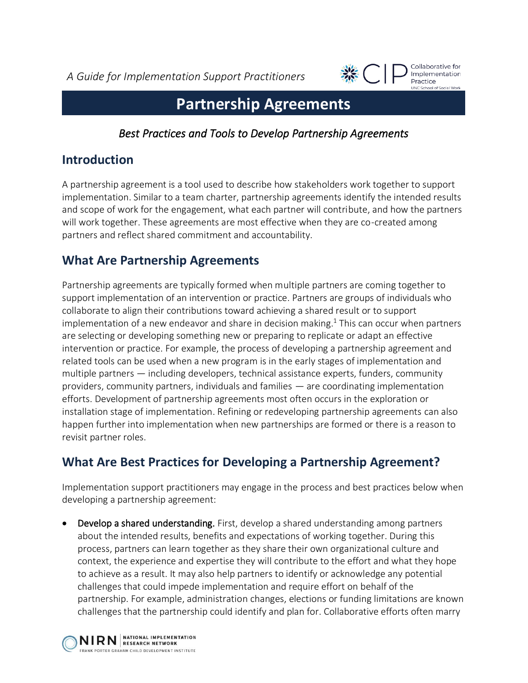*A Guide for Implementation Support Practitioners*



Collaborative for Implementation Practice **INC School of Social Work** 

# **Partnership Agreements**

*Best Practices and Tools to Develop Partnership Agreements*

#### **Introduction**

A partnership agreement is a tool used to describe how stakeholders work together to support implementation. Similar to a team charter, partnership agreements identify the intended results and scope of work for the engagement, what each partner will contribute, and how the partners will work together. These agreements are most effective when they are co-created among partners and reflect shared commitment and accountability.

## **What Are Partnership Agreements**

Partnership agreements are typically formed when multiple partners are coming together to support implementation of an intervention or practice. Partners are groups of individuals who collaborate to align their contributions toward achieving a shared result or to support implementation of a new endeavor and share in decision making. <sup>1</sup> This can occur when partners are selecting or developing something new or preparing to replicate or adapt an effective intervention or practice. For example, the process of developing a partnership agreement and related tools can be used when a new program is in the early stages of implementation and multiple partners — including developers, technical assistance experts, funders, community providers, community partners, individuals and families — are coordinating implementation efforts. Development of partnership agreements most often occurs in the exploration or installation stage of implementation. Refining or redeveloping partnership agreements can also happen further into implementation when new partnerships are formed or there is a reason to revisit partner roles.

## **What Are Best Practices for Developing a Partnership Agreement?**

Implementation support practitioners may engage in the process and best practices below when developing a partnership agreement:

• Develop a shared understanding. First, develop a shared understanding among partners about the intended results, benefits and expectations of working together. During this process, partners can learn together as they share their own organizational culture and context, the experience and expertise they will contribute to the effort and what they hope to achieve as a result. It may also help partners to identify or acknowledge any potential challenges that could impede implementation and require effort on behalf of the partnership. For example, administration changes, elections or funding limitations are known challenges that the partnership could identify and plan for. Collaborative efforts often marry

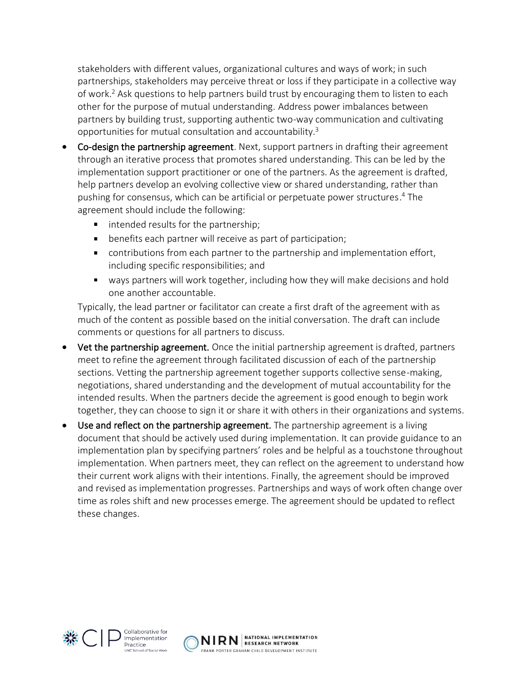stakeholders with different values, organizational cultures and ways of work; in such partnerships, stakeholders may perceive threat or loss if they participate in a collective way of work. <sup>2</sup> Ask questions to help partners build trust by encouraging them to listen to each other for the purpose of mutual understanding. Address power imbalances between partners by building trust, supporting authentic two-way communication and cultivating opportunities for mutual consultation and accountability. 3

- Co-design the partnership agreement. Next, support partners in drafting their agreement through an iterative process that promotes shared understanding. This can be led by the implementation support practitioner or one of the partners. As the agreement is drafted, help partners develop an evolving collective view or shared understanding, rather than pushing for consensus, which can be artificial or perpetuate power structures. <sup>4</sup> The agreement should include the following:
	- **IF** intended results for the partnership;
	- **•** benefits each partner will receive as part of participation;
	- contributions from each partner to the partnership and implementation effort, including specific responsibilities; and
	- ways partners will work together, including how they will make decisions and hold one another accountable.

Typically, the lead partner or facilitator can create a first draft of the agreement with as much of the content as possible based on the initial conversation. The draft can include comments or questions for all partners to discuss.

- Vet the partnership agreement. Once the initial partnership agreement is drafted, partners meet to refine the agreement through facilitated discussion of each of the partnership sections. Vetting the partnership agreement together supports collective sense-making, negotiations, shared understanding and the development of mutual accountability for the intended results. When the partners decide the agreement is good enough to begin work together, they can choose to sign it or share it with others in their organizations and systems.
- Use and reflect on the partnership agreement. The partnership agreement is a living document that should be actively used during implementation. It can provide guidance to an implementation plan by specifying partners' roles and be helpful as a touchstone throughout implementation. When partners meet, they can reflect on the agreement to understand how their current work aligns with their intentions. Finally, the agreement should be improved and revised as implementation progresses. Partnerships and ways of work often change over time as roles shift and new processes emerge. The agreement should be updated to reflect these changes.



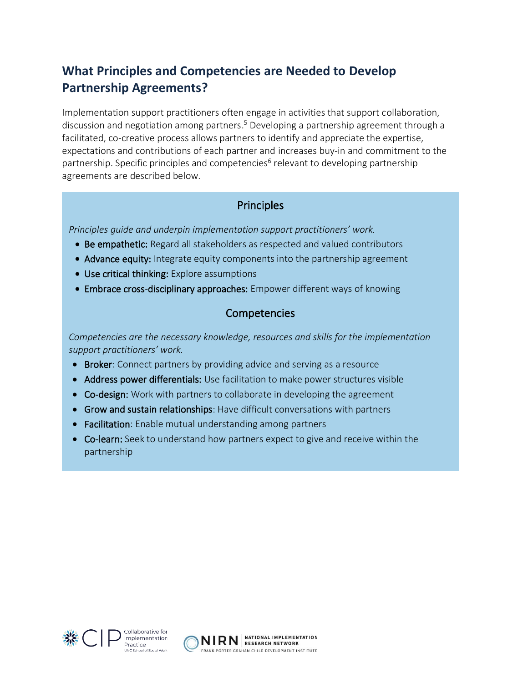#### **What Principles and Competencies are Needed to Develop Partnership Agreements?**

Implementation support practitioners often engage in activities that support collaboration, discussion and negotiation among partners.<sup>5</sup> Developing a partnership agreement through a facilitated, co-creative process allows partners to identify and appreciate the expertise, expectations and contributions of each partner and increases buy-in and commitment to the partnership. Specific principles and competencies<sup>6</sup> relevant to developing partnership agreements are described below.

#### **Principles**

*Principles guide and underpin implementation support practitioners' work.* 

- Be empathetic: Regard all stakeholders as respected and valued contributors
- Advance equity: Integrate equity components into the partnership agreement
- Use critical thinking: Explore assumptions
- Embrace cross-disciplinary approaches: Empower different ways of knowing

#### Competencies

*Competencies are the necessary knowledge, resources and skills for the implementation support practitioners' work.* 

- Broker: Connect partners by providing advice and serving as a resource
- Address power differentials: Use facilitation to make power structures visible
- Co-design: Work with partners to collaborate in developing the agreement
- Grow and sustain relationships: Have difficult conversations with partners
- Facilitation: Enable mutual understanding among partners
- Co-learn: Seek to understand how partners expect to give and receive within the partnership